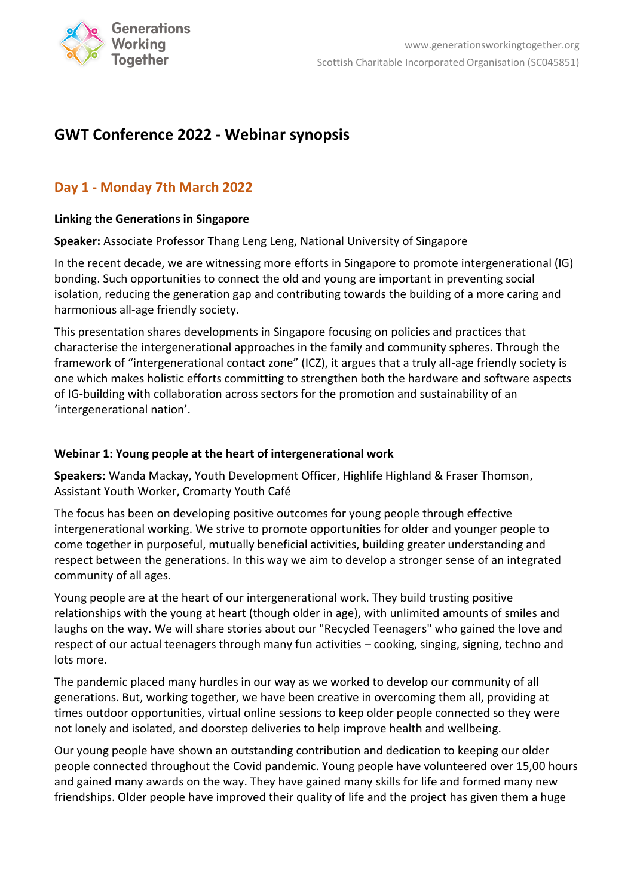

# **GWT Conference 2022 - Webinar synopsis**

## **Day 1 - Monday 7th March 2022**

### **Linking the Generations in Singapore**

**Speaker:** Associate Professor Thang Leng Leng, National University of Singapore

In the recent decade, we are witnessing more efforts in Singapore to promote intergenerational (IG) bonding. Such opportunities to connect the old and young are important in preventing social isolation, reducing the generation gap and contributing towards the building of a more caring and harmonious all-age friendly society.

This presentation shares developments in Singapore focusing on policies and practices that characterise the intergenerational approaches in the family and community spheres. Through the framework of "intergenerational contact zone" (ICZ), it argues that a truly all-age friendly society is one which makes holistic efforts committing to strengthen both the hardware and software aspects of IG-building with collaboration across sectors for the promotion and sustainability of an 'intergenerational nation'.

### **Webinar 1: Young people at the heart of intergenerational work**

**Speakers:** Wanda Mackay, Youth Development Officer, Highlife Highland & Fraser Thomson, Assistant Youth Worker, Cromarty Youth Café

The focus has been on developing positive outcomes for young people through effective intergenerational working. We strive to promote opportunities for older and younger people to come together in purposeful, mutually beneficial activities, building greater understanding and respect between the generations. In this way we aim to develop a stronger sense of an integrated community of all ages.

Young people are at the heart of our intergenerational work. They build trusting positive relationships with the young at heart (though older in age), with unlimited amounts of smiles and laughs on the way. We will share stories about our "Recycled Teenagers" who gained the love and respect of our actual teenagers through many fun activities – cooking, singing, signing, techno and lots more.

The pandemic placed many hurdles in our way as we worked to develop our community of all generations. But, working together, we have been creative in overcoming them all, providing at times outdoor opportunities, virtual online sessions to keep older people connected so they were not lonely and isolated, and doorstep deliveries to help improve health and wellbeing.

Our young people have shown an outstanding contribution and dedication to keeping our older people connected throughout the Covid pandemic. Young people have volunteered over 15,00 hours and gained many awards on the way. They have gained many skills for life and formed many new friendships. Older people have improved their quality of life and the project has given them a huge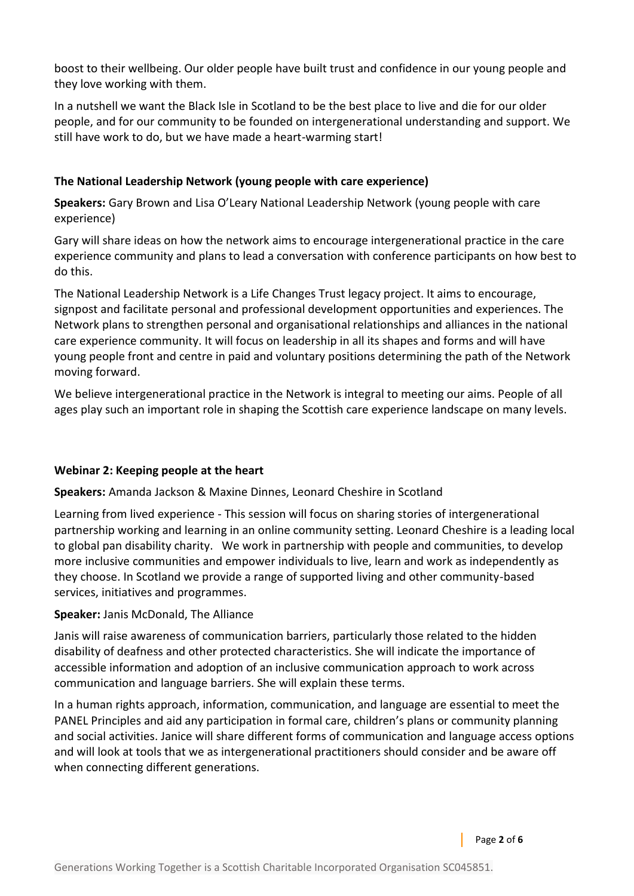boost to their wellbeing. Our older people have built trust and confidence in our young people and they love working with them.

In a nutshell we want the Black Isle in Scotland to be the best place to live and die for our older people, and for our community to be founded on intergenerational understanding and support. We still have work to do, but we have made a heart-warming start!

### **The National Leadership Network (young people with care experience)**

**Speakers:** Gary Brown and Lisa O'Leary National Leadership Network (young people with care experience)

Gary will share ideas on how the network aims to encourage intergenerational practice in the care experience community and plans to lead a conversation with conference participants on how best to do this.

The National Leadership Network is a Life Changes Trust legacy project. It aims to encourage, signpost and facilitate personal and professional development opportunities and experiences. The Network plans to strengthen personal and organisational relationships and alliances in the national care experience community. It will focus on leadership in all its shapes and forms and will have young people front and centre in paid and voluntary positions determining the path of the Network moving forward.

We believe intergenerational practice in the Network is integral to meeting our aims. People of all ages play such an important role in shaping the Scottish care experience landscape on many levels.

#### **Webinar 2: Keeping people at the heart**

**Speakers:** Amanda Jackson & Maxine Dinnes, Leonard Cheshire in Scotland

Learning from lived experience - This session will focus on sharing stories of intergenerational partnership working and learning in an online community setting. Leonard Cheshire is a leading local to global pan disability charity. We work in partnership with people and communities, to develop more inclusive communities and empower individuals to live, learn and work as independently as they choose. In Scotland we provide a range of supported living and other community-based services, initiatives and programmes.

#### **Speaker:** Janis McDonald, The Alliance

Janis will raise awareness of communication barriers, particularly those related to the hidden disability of deafness and other protected characteristics. She will indicate the importance of accessible information and adoption of an inclusive communication approach to work across communication and language barriers. She will explain these terms.

In a human rights approach, information, communication, and language are essential to meet the PANEL Principles and aid any participation in formal care, children's plans or community planning and social activities. Janice will share different forms of communication and language access options and will look at tools that we as intergenerational practitioners should consider and be aware off when connecting different generations.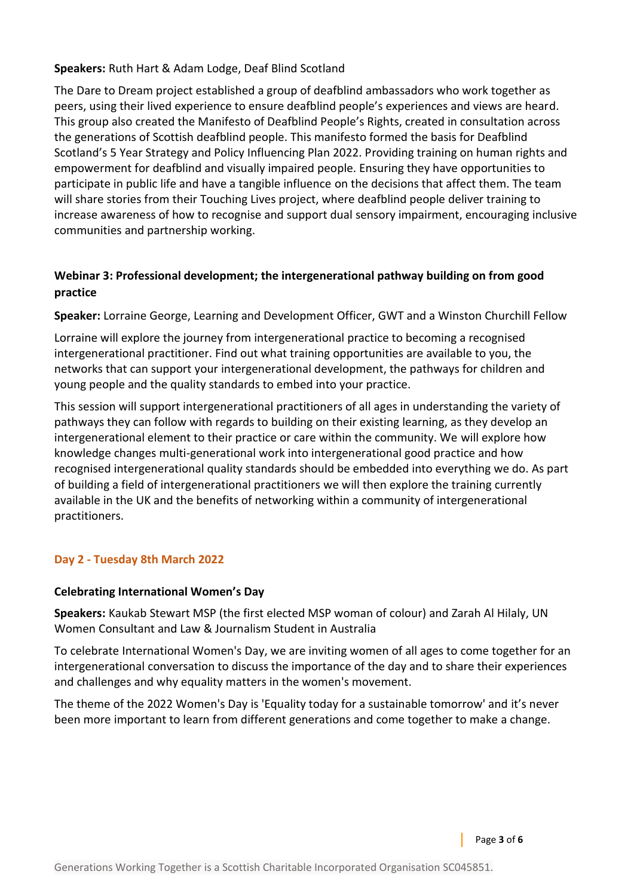### **Speakers:** Ruth Hart & Adam Lodge, Deaf Blind Scotland

The Dare to Dream project established a group of deafblind ambassadors who work together as peers, using their lived experience to ensure deafblind people's experiences and views are heard. This group also created the Manifesto of Deafblind People's Rights, created in consultation across the generations of Scottish deafblind people. This manifesto formed the basis for Deafblind Scotland's 5 Year Strategy and Policy Influencing Plan 2022. Providing training on human rights and empowerment for deafblind and visually impaired people. Ensuring they have opportunities to participate in public life and have a tangible influence on the decisions that affect them. The team will share stories from their Touching Lives project, where deafblind people deliver training to increase awareness of how to recognise and support dual sensory impairment, encouraging inclusive communities and partnership working.

### **Webinar 3: Professional development; the intergenerational pathway building on from good practice**

**Speaker:** Lorraine George, Learning and Development Officer, GWT and a Winston Churchill Fellow

Lorraine will explore the journey from intergenerational practice to becoming a recognised intergenerational practitioner. Find out what training opportunities are available to you, the networks that can support your intergenerational development, the pathways for children and young people and the quality standards to embed into your practice.

This session will support intergenerational practitioners of all ages in understanding the variety of pathways they can follow with regards to building on their existing learning, as they develop an intergenerational element to their practice or care within the community. We will explore how knowledge changes multi-generational work into intergenerational good practice and how recognised intergenerational quality standards should be embedded into everything we do. As part of building a field of intergenerational practitioners we will then explore the training currently available in the UK and the benefits of networking within a community of intergenerational practitioners.

### **Day 2 - Tuesday 8th March 2022**

#### **Celebrating International Women's Day**

**Speakers:** Kaukab Stewart MSP (the first elected MSP woman of colour) and Zarah Al Hilaly, UN Women Consultant and Law & Journalism Student in Australia

To celebrate International Women's Day, we are inviting women of all ages to come together for an intergenerational conversation to discuss the importance of the day and to share their experiences and challenges and why equality matters in the women's movement.

The theme of the 2022 Women's Day is 'Equality today for a sustainable tomorrow' and it's never been more important to learn from different generations and come together to make a change.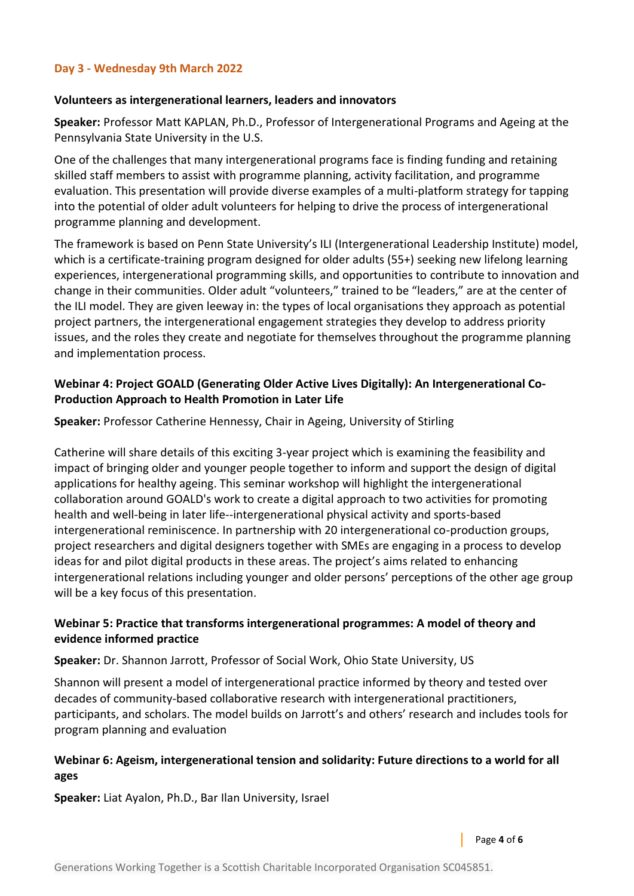#### **Day 3 - Wednesday 9th March 2022**

#### **Volunteers as intergenerational learners, leaders and innovators**

**Speaker:** Professor Matt KAPLAN, Ph.D., Professor of Intergenerational Programs and Ageing at the Pennsylvania State University in the U.S.

One of the challenges that many intergenerational programs face is finding funding and retaining skilled staff members to assist with programme planning, activity facilitation, and programme evaluation. This presentation will provide diverse examples of a multi-platform strategy for tapping into the potential of older adult volunteers for helping to drive the process of intergenerational programme planning and development.

The framework is based on Penn State University's ILI (Intergenerational Leadership Institute) model, which is a certificate-training program designed for older adults (55+) seeking new lifelong learning experiences, intergenerational programming skills, and opportunities to contribute to innovation and change in their communities. Older adult "volunteers," trained to be "leaders," are at the center of the ILI model. They are given leeway in: the types of local organisations they approach as potential project partners, the intergenerational engagement strategies they develop to address priority issues, and the roles they create and negotiate for themselves throughout the programme planning and implementation process.

### **Webinar 4: Project GOALD (Generating Older Active Lives Digitally): An Intergenerational Co-Production Approach to Health Promotion in Later Life**

**Speaker:** Professor Catherine Hennessy, Chair in Ageing, University of Stirling

Catherine will share details of this exciting 3-year project which is examining the feasibility and impact of bringing older and younger people together to inform and support the design of digital applications for healthy ageing. This seminar workshop will highlight the intergenerational collaboration around GOALD's work to create a digital approach to two activities for promoting health and well-being in later life--intergenerational physical activity and sports-based intergenerational reminiscence. In partnership with 20 intergenerational co-production groups, project researchers and digital designers together with SMEs are engaging in a process to develop ideas for and pilot digital products in these areas. The project's aims related to enhancing intergenerational relations including younger and older persons' perceptions of the other age group will be a key focus of this presentation.

### **Webinar 5: Practice that transforms intergenerational programmes: A model of theory and evidence informed practice**

#### **Speaker:** Dr. Shannon Jarrott, Professor of Social Work, Ohio State University, US

Shannon will present a model of intergenerational practice informed by theory and tested over decades of community-based collaborative research with intergenerational practitioners, participants, and scholars. The model builds on Jarrott's and others' research and includes tools for program planning and evaluation

### **Webinar 6: Ageism, intergenerational tension and solidarity: Future directions to a world for all ages**

**Speaker:** Liat Ayalon, Ph.D., Bar Ilan University, Israel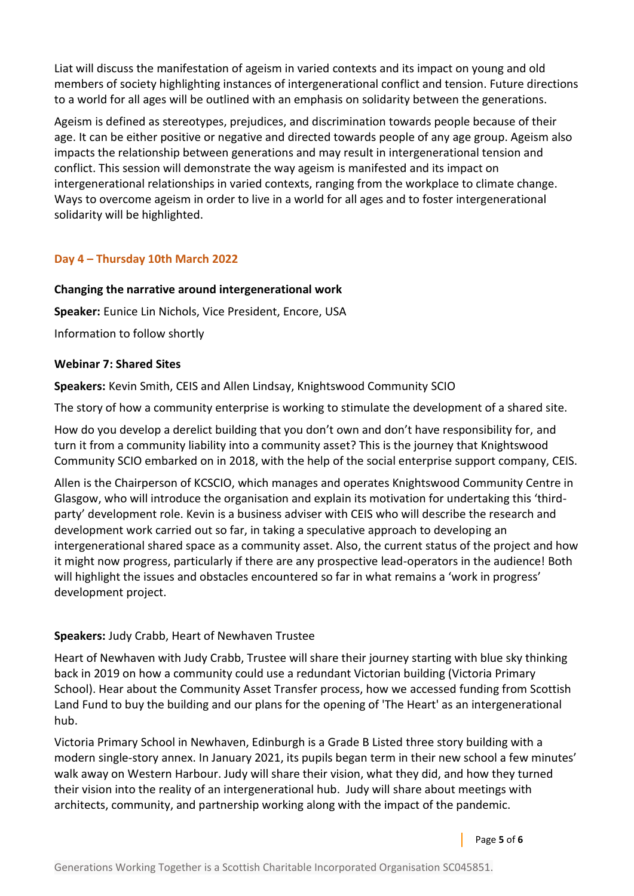Liat will discuss the manifestation of ageism in varied contexts and its impact on young and old members of society highlighting instances of intergenerational conflict and tension. Future directions to a world for all ages will be outlined with an emphasis on solidarity between the generations.

Ageism is defined as stereotypes, prejudices, and discrimination towards people because of their age. It can be either positive or negative and directed towards people of any age group. Ageism also impacts the relationship between generations and may result in intergenerational tension and conflict. This session will demonstrate the way ageism is manifested and its impact on intergenerational relationships in varied contexts, ranging from the workplace to climate change. Ways to overcome ageism in order to live in a world for all ages and to foster intergenerational solidarity will be highlighted.

### **Day 4 – Thursday 10th March 2022**

### **Changing the narrative around intergenerational work**

**Speaker:** Eunice Lin Nichols, Vice President, Encore, USA

Information to follow shortly

### **Webinar 7: Shared Sites**

**Speakers:** Kevin Smith, CEIS and Allen Lindsay, Knightswood Community SCIO

The story of how a community enterprise is working to stimulate the development of a shared site.

How do you develop a derelict building that you don't own and don't have responsibility for, and turn it from a community liability into a community asset? This is the journey that Knightswood Community SCIO embarked on in 2018, with the help of the social enterprise support company, CEIS.

Allen is the Chairperson of KCSCIO, which manages and operates Knightswood Community Centre in Glasgow, who will introduce the organisation and explain its motivation for undertaking this 'thirdparty' development role. Kevin is a business adviser with CEIS who will describe the research and development work carried out so far, in taking a speculative approach to developing an intergenerational shared space as a community asset. Also, the current status of the project and how it might now progress, particularly if there are any prospective lead-operators in the audience! Both will highlight the issues and obstacles encountered so far in what remains a 'work in progress' development project.

### **Speakers:** Judy Crabb, Heart of Newhaven Trustee

Heart of Newhaven with Judy Crabb, Trustee will share their journey starting with blue sky thinking back in 2019 on how a community could use a redundant Victorian building (Victoria Primary School). Hear about the Community Asset Transfer process, how we accessed funding from Scottish Land Fund to buy the building and our plans for the opening of 'The Heart' as an intergenerational hub.

Victoria Primary School in Newhaven, Edinburgh is a Grade B Listed three story building with a modern single-story annex. In January 2021, its pupils began term in their new school a few minutes' walk away on Western Harbour. Judy will share their vision, what they did, and how they turned their vision into the reality of an intergenerational hub. Judy will share about meetings with architects, community, and partnership working along with the impact of the pandemic.